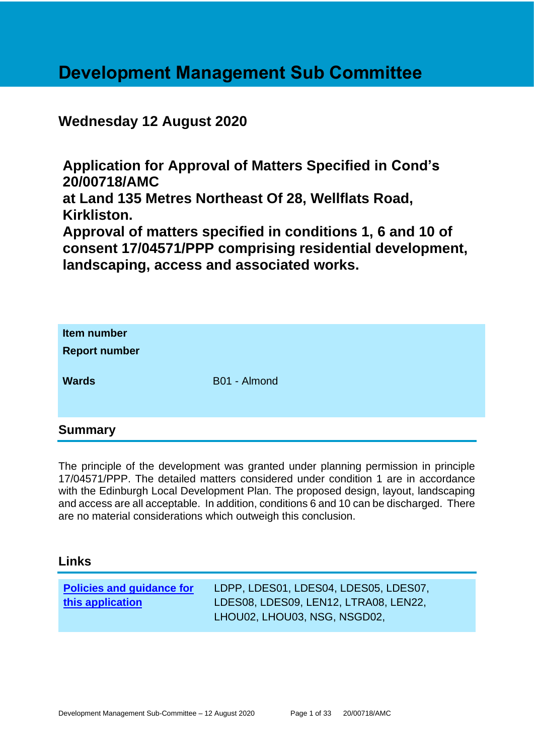# **Development Management Sub Committee**

## **Wednesday 12 August 2020**

**Application for Approval of Matters Specified in Cond's 20/00718/AMC at Land 135 Metres Northeast Of 28, Wellflats Road, Kirkliston.**

**Approval of matters specified in conditions 1, 6 and 10 of consent 17/04571/PPP comprising residential development, landscaping, access and associated works.**

| Item number<br><b>Report number</b><br><b>Wards</b> | B01 - Almond |
|-----------------------------------------------------|--------------|
| <b>Summary</b>                                      |              |

The principle of the development was granted under planning permission in principle 17/04571/PPP. The detailed matters considered under condition 1 are in accordance with the Edinburgh Local Development Plan. The proposed design, layout, landscaping and access are all acceptable. In addition, conditions 6 and 10 can be discharged. There are no material considerations which outweigh this conclusion.

## **Links**

| <b>Policies and guidance for</b> | LDPP, LDES01, LDES04, LDES05, LDES07, |
|----------------------------------|---------------------------------------|
| this application                 | LDES08, LDES09, LEN12, LTRA08, LEN22, |
|                                  | LHOU02, LHOU03, NSG, NSGD02,          |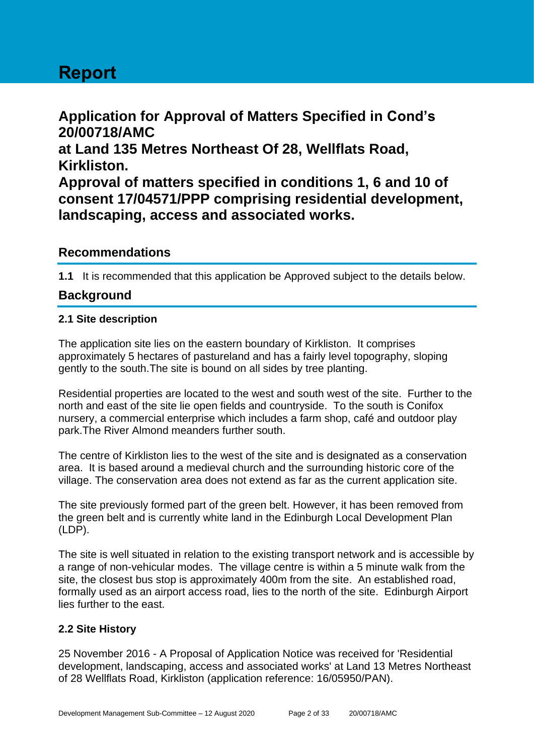# **Report**

**Application for Approval of Matters Specified in Cond's 20/00718/AMC at Land 135 Metres Northeast Of 28, Wellflats Road, Kirkliston. Approval of matters specified in conditions 1, 6 and 10 of consent 17/04571/PPP comprising residential development, landscaping, access and associated works.**

## **Recommendations**

**1.1** It is recommended that this application be Approved subject to the details below.

## **Background**

## **2.1 Site description**

The application site lies on the eastern boundary of Kirkliston. It comprises approximately 5 hectares of pastureland and has a fairly level topography, sloping gently to the south.The site is bound on all sides by tree planting.

Residential properties are located to the west and south west of the site. Further to the north and east of the site lie open fields and countryside. To the south is Conifox nursery, a commercial enterprise which includes a farm shop, café and outdoor play park.The River Almond meanders further south.

The centre of Kirkliston lies to the west of the site and is designated as a conservation area. It is based around a medieval church and the surrounding historic core of the village. The conservation area does not extend as far as the current application site.

The site previously formed part of the green belt. However, it has been removed from the green belt and is currently white land in the Edinburgh Local Development Plan (LDP).

The site is well situated in relation to the existing transport network and is accessible by a range of non-vehicular modes. The village centre is within a 5 minute walk from the site, the closest bus stop is approximately 400m from the site. An established road, formally used as an airport access road, lies to the north of the site. Edinburgh Airport lies further to the east.

## **2.2 Site History**

25 November 2016 - A Proposal of Application Notice was received for 'Residential development, landscaping, access and associated works' at Land 13 Metres Northeast of 28 Wellflats Road, Kirkliston (application reference: 16/05950/PAN).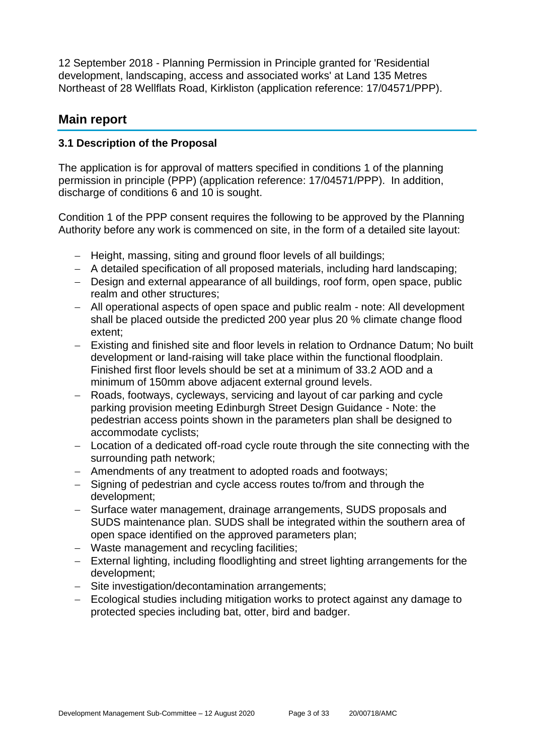12 September 2018 - Planning Permission in Principle granted for 'Residential development, landscaping, access and associated works' at Land 135 Metres Northeast of 28 Wellflats Road, Kirkliston (application reference: 17/04571/PPP).

## **Main report**

## **3.1 Description of the Proposal**

The application is for approval of matters specified in conditions 1 of the planning permission in principle (PPP) (application reference: 17/04571/PPP). In addition, discharge of conditions 6 and 10 is sought.

Condition 1 of the PPP consent requires the following to be approved by the Planning Authority before any work is commenced on site, in the form of a detailed site layout:

- − Height, massing, siting and ground floor levels of all buildings;
- − A detailed specification of all proposed materials, including hard landscaping;
- − Design and external appearance of all buildings, roof form, open space, public realm and other structures;
- − All operational aspects of open space and public realm note: All development shall be placed outside the predicted 200 year plus 20 % climate change flood extent;
- − Existing and finished site and floor levels in relation to Ordnance Datum; No built development or land-raising will take place within the functional floodplain. Finished first floor levels should be set at a minimum of 33.2 AOD and a minimum of 150mm above adjacent external ground levels.
- − Roads, footways, cycleways, servicing and layout of car parking and cycle parking provision meeting Edinburgh Street Design Guidance - Note: the pedestrian access points shown in the parameters plan shall be designed to accommodate cyclists;
- − Location of a dedicated off-road cycle route through the site connecting with the surrounding path network;
- − Amendments of any treatment to adopted roads and footways;
- − Signing of pedestrian and cycle access routes to/from and through the development;
- − Surface water management, drainage arrangements, SUDS proposals and SUDS maintenance plan. SUDS shall be integrated within the southern area of open space identified on the approved parameters plan;
- − Waste management and recycling facilities;
- − External lighting, including floodlighting and street lighting arrangements for the development;
- − Site investigation/decontamination arrangements;
- − Ecological studies including mitigation works to protect against any damage to protected species including bat, otter, bird and badger.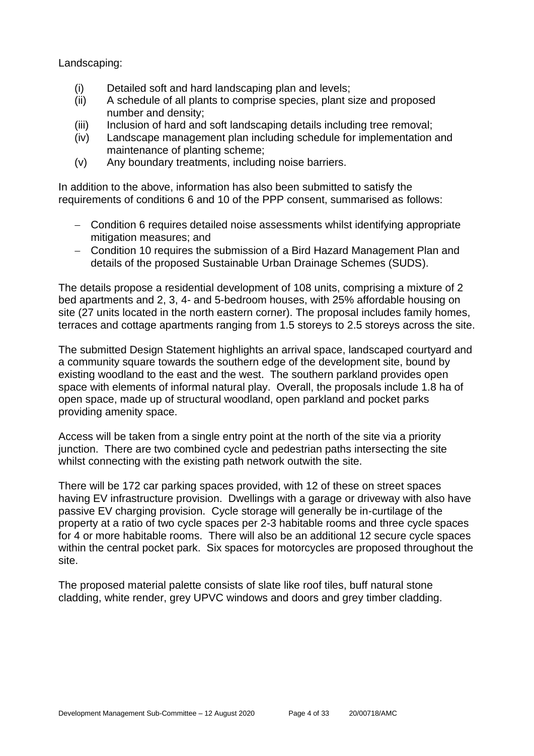Landscaping:

- (i) Detailed soft and hard landscaping plan and levels;
- (ii) A schedule of all plants to comprise species, plant size and proposed number and density;
- (iii) Inclusion of hard and soft landscaping details including tree removal;
- (iv) Landscape management plan including schedule for implementation and maintenance of planting scheme;
- (v) Any boundary treatments, including noise barriers.

In addition to the above, information has also been submitted to satisfy the requirements of conditions 6 and 10 of the PPP consent, summarised as follows:

- − Condition 6 requires detailed noise assessments whilst identifying appropriate mitigation measures; and
- − Condition 10 requires the submission of a Bird Hazard Management Plan and details of the proposed Sustainable Urban Drainage Schemes (SUDS).

The details propose a residential development of 108 units, comprising a mixture of 2 bed apartments and 2, 3, 4- and 5-bedroom houses, with 25% affordable housing on site (27 units located in the north eastern corner). The proposal includes family homes, terraces and cottage apartments ranging from 1.5 storeys to 2.5 storeys across the site.

The submitted Design Statement highlights an arrival space, landscaped courtyard and a community square towards the southern edge of the development site, bound by existing woodland to the east and the west. The southern parkland provides open space with elements of informal natural play. Overall, the proposals include 1.8 ha of open space, made up of structural woodland, open parkland and pocket parks providing amenity space.

Access will be taken from a single entry point at the north of the site via a priority junction. There are two combined cycle and pedestrian paths intersecting the site whilst connecting with the existing path network outwith the site.

There will be 172 car parking spaces provided, with 12 of these on street spaces having EV infrastructure provision. Dwellings with a garage or driveway with also have passive EV charging provision. Cycle storage will generally be in-curtilage of the property at a ratio of two cycle spaces per 2-3 habitable rooms and three cycle spaces for 4 or more habitable rooms. There will also be an additional 12 secure cycle spaces within the central pocket park. Six spaces for motorcycles are proposed throughout the site.

The proposed material palette consists of slate like roof tiles, buff natural stone cladding, white render, grey UPVC windows and doors and grey timber cladding.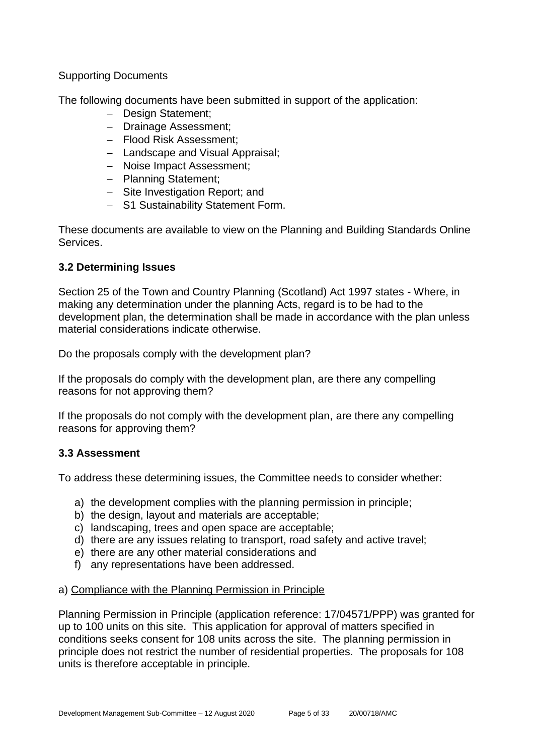## Supporting Documents

The following documents have been submitted in support of the application:

- − Design Statement;
- − Drainage Assessment;
- − Flood Risk Assessment;
- − Landscape and Visual Appraisal;
- − Noise Impact Assessment;
- − Planning Statement;
- − Site Investigation Report; and
- − S1 Sustainability Statement Form.

These documents are available to view on the Planning and Building Standards Online Services.

## **3.2 Determining Issues**

Section 25 of the Town and Country Planning (Scotland) Act 1997 states - Where, in making any determination under the planning Acts, regard is to be had to the development plan, the determination shall be made in accordance with the plan unless material considerations indicate otherwise.

Do the proposals comply with the development plan?

If the proposals do comply with the development plan, are there any compelling reasons for not approving them?

If the proposals do not comply with the development plan, are there any compelling reasons for approving them?

## **3.3 Assessment**

To address these determining issues, the Committee needs to consider whether:

- a) the development complies with the planning permission in principle;
- b) the design, layout and materials are acceptable;
- c) landscaping, trees and open space are acceptable;
- d) there are any issues relating to transport, road safety and active travel;
- e) there are any other material considerations and
- f) any representations have been addressed.

## a) Compliance with the Planning Permission in Principle

Planning Permission in Principle (application reference: 17/04571/PPP) was granted for up to 100 units on this site. This application for approval of matters specified in conditions seeks consent for 108 units across the site. The planning permission in principle does not restrict the number of residential properties. The proposals for 108 units is therefore acceptable in principle.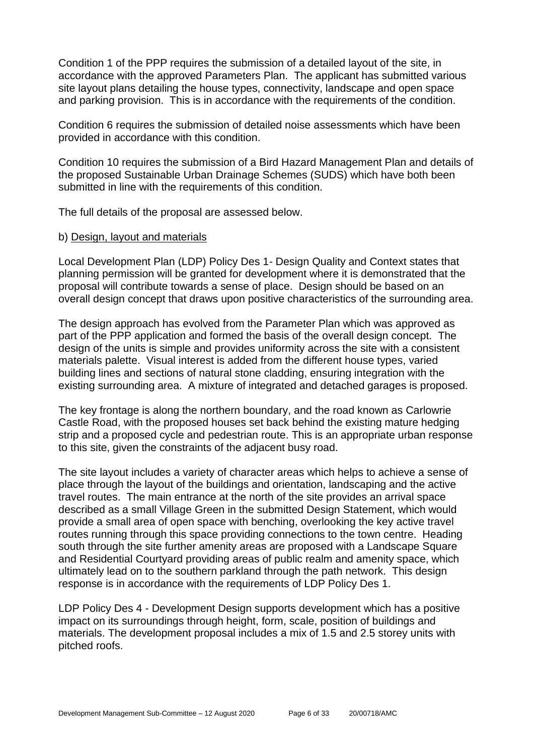Condition 1 of the PPP requires the submission of a detailed layout of the site, in accordance with the approved Parameters Plan. The applicant has submitted various site layout plans detailing the house types, connectivity, landscape and open space and parking provision. This is in accordance with the requirements of the condition.

Condition 6 requires the submission of detailed noise assessments which have been provided in accordance with this condition.

Condition 10 requires the submission of a Bird Hazard Management Plan and details of the proposed Sustainable Urban Drainage Schemes (SUDS) which have both been submitted in line with the requirements of this condition.

The full details of the proposal are assessed below.

#### b) Design, layout and materials

Local Development Plan (LDP) Policy Des 1- Design Quality and Context states that planning permission will be granted for development where it is demonstrated that the proposal will contribute towards a sense of place. Design should be based on an overall design concept that draws upon positive characteristics of the surrounding area.

The design approach has evolved from the Parameter Plan which was approved as part of the PPP application and formed the basis of the overall design concept. The design of the units is simple and provides uniformity across the site with a consistent materials palette. Visual interest is added from the different house types, varied building lines and sections of natural stone cladding, ensuring integration with the existing surrounding area. A mixture of integrated and detached garages is proposed.

The key frontage is along the northern boundary, and the road known as Carlowrie Castle Road, with the proposed houses set back behind the existing mature hedging strip and a proposed cycle and pedestrian route. This is an appropriate urban response to this site, given the constraints of the adjacent busy road.

The site layout includes a variety of character areas which helps to achieve a sense of place through the layout of the buildings and orientation, landscaping and the active travel routes. The main entrance at the north of the site provides an arrival space described as a small Village Green in the submitted Design Statement, which would provide a small area of open space with benching, overlooking the key active travel routes running through this space providing connections to the town centre. Heading south through the site further amenity areas are proposed with a Landscape Square and Residential Courtyard providing areas of public realm and amenity space, which ultimately lead on to the southern parkland through the path network. This design response is in accordance with the requirements of LDP Policy Des 1.

LDP Policy Des 4 - Development Design supports development which has a positive impact on its surroundings through height, form, scale, position of buildings and materials. The development proposal includes a mix of 1.5 and 2.5 storey units with pitched roofs.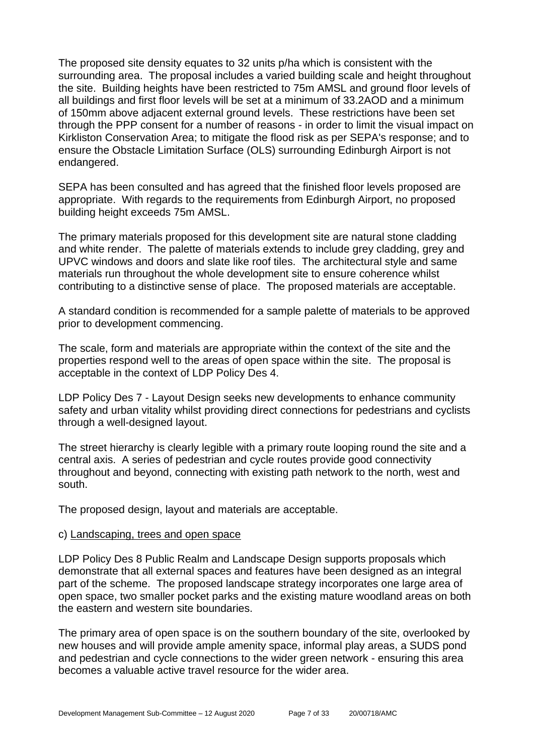The proposed site density equates to 32 units p/ha which is consistent with the surrounding area. The proposal includes a varied building scale and height throughout the site. Building heights have been restricted to 75m AMSL and ground floor levels of all buildings and first floor levels will be set at a minimum of 33.2AOD and a minimum of 150mm above adjacent external ground levels. These restrictions have been set through the PPP consent for a number of reasons - in order to limit the visual impact on Kirkliston Conservation Area; to mitigate the flood risk as per SEPA's response; and to ensure the Obstacle Limitation Surface (OLS) surrounding Edinburgh Airport is not endangered.

SEPA has been consulted and has agreed that the finished floor levels proposed are appropriate. With regards to the requirements from Edinburgh Airport, no proposed building height exceeds 75m AMSL.

The primary materials proposed for this development site are natural stone cladding and white render. The palette of materials extends to include grey cladding, grey and UPVC windows and doors and slate like roof tiles. The architectural style and same materials run throughout the whole development site to ensure coherence whilst contributing to a distinctive sense of place. The proposed materials are acceptable.

A standard condition is recommended for a sample palette of materials to be approved prior to development commencing.

The scale, form and materials are appropriate within the context of the site and the properties respond well to the areas of open space within the site. The proposal is acceptable in the context of LDP Policy Des 4.

LDP Policy Des 7 - Layout Design seeks new developments to enhance community safety and urban vitality whilst providing direct connections for pedestrians and cyclists through a well-designed layout.

The street hierarchy is clearly legible with a primary route looping round the site and a central axis. A series of pedestrian and cycle routes provide good connectivity throughout and beyond, connecting with existing path network to the north, west and south.

The proposed design, layout and materials are acceptable.

#### c) Landscaping, trees and open space

LDP Policy Des 8 Public Realm and Landscape Design supports proposals which demonstrate that all external spaces and features have been designed as an integral part of the scheme. The proposed landscape strategy incorporates one large area of open space, two smaller pocket parks and the existing mature woodland areas on both the eastern and western site boundaries.

The primary area of open space is on the southern boundary of the site, overlooked by new houses and will provide ample amenity space, informal play areas, a SUDS pond and pedestrian and cycle connections to the wider green network - ensuring this area becomes a valuable active travel resource for the wider area.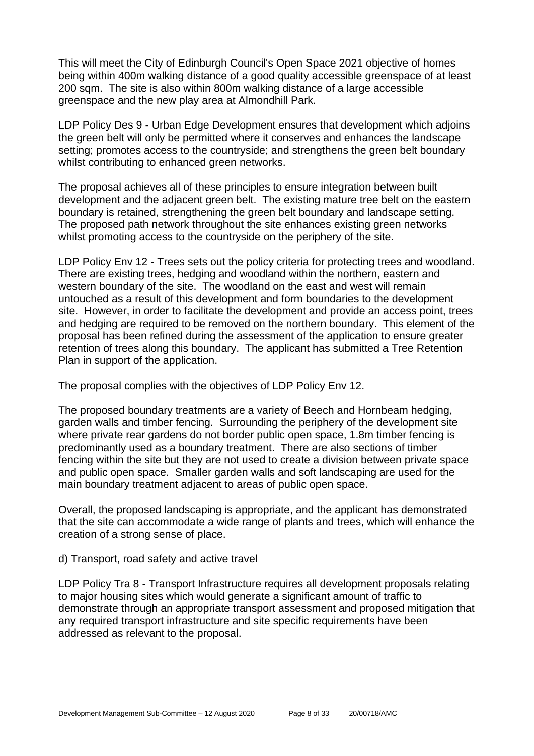This will meet the City of Edinburgh Council's Open Space 2021 objective of homes being within 400m walking distance of a good quality accessible greenspace of at least 200 sqm. The site is also within 800m walking distance of a large accessible greenspace and the new play area at Almondhill Park.

LDP Policy Des 9 - Urban Edge Development ensures that development which adjoins the green belt will only be permitted where it conserves and enhances the landscape setting; promotes access to the countryside; and strengthens the green belt boundary whilst contributing to enhanced green networks.

The proposal achieves all of these principles to ensure integration between built development and the adjacent green belt. The existing mature tree belt on the eastern boundary is retained, strengthening the green belt boundary and landscape setting. The proposed path network throughout the site enhances existing green networks whilst promoting access to the countryside on the periphery of the site.

LDP Policy Env 12 - Trees sets out the policy criteria for protecting trees and woodland. There are existing trees, hedging and woodland within the northern, eastern and western boundary of the site. The woodland on the east and west will remain untouched as a result of this development and form boundaries to the development site. However, in order to facilitate the development and provide an access point, trees and hedging are required to be removed on the northern boundary. This element of the proposal has been refined during the assessment of the application to ensure greater retention of trees along this boundary. The applicant has submitted a Tree Retention Plan in support of the application.

The proposal complies with the objectives of LDP Policy Env 12.

The proposed boundary treatments are a variety of Beech and Hornbeam hedging, garden walls and timber fencing. Surrounding the periphery of the development site where private rear gardens do not border public open space, 1.8m timber fencing is predominantly used as a boundary treatment. There are also sections of timber fencing within the site but they are not used to create a division between private space and public open space. Smaller garden walls and soft landscaping are used for the main boundary treatment adjacent to areas of public open space.

Overall, the proposed landscaping is appropriate, and the applicant has demonstrated that the site can accommodate a wide range of plants and trees, which will enhance the creation of a strong sense of place.

## d) Transport, road safety and active travel

LDP Policy Tra 8 - Transport Infrastructure requires all development proposals relating to major housing sites which would generate a significant amount of traffic to demonstrate through an appropriate transport assessment and proposed mitigation that any required transport infrastructure and site specific requirements have been addressed as relevant to the proposal.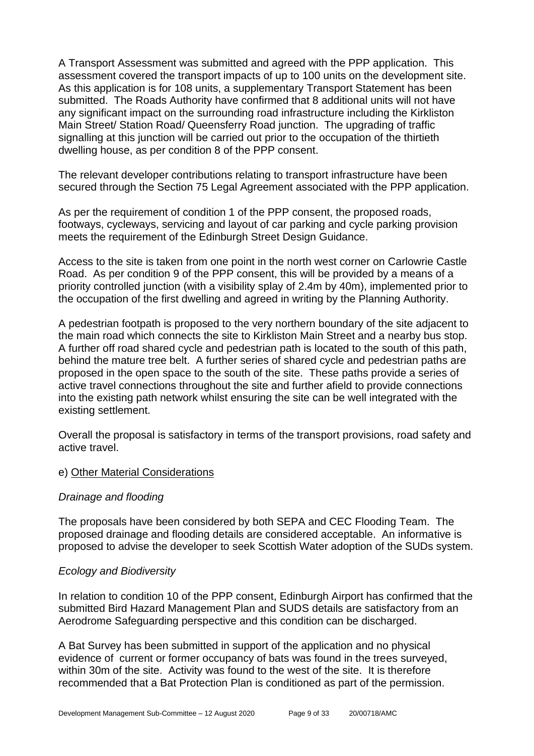A Transport Assessment was submitted and agreed with the PPP application. This assessment covered the transport impacts of up to 100 units on the development site. As this application is for 108 units, a supplementary Transport Statement has been submitted. The Roads Authority have confirmed that 8 additional units will not have any significant impact on the surrounding road infrastructure including the Kirkliston Main Street/ Station Road/ Queensferry Road junction. The upgrading of traffic signalling at this junction will be carried out prior to the occupation of the thirtieth dwelling house, as per condition 8 of the PPP consent.

The relevant developer contributions relating to transport infrastructure have been secured through the Section 75 Legal Agreement associated with the PPP application.

As per the requirement of condition 1 of the PPP consent, the proposed roads, footways, cycleways, servicing and layout of car parking and cycle parking provision meets the requirement of the Edinburgh Street Design Guidance.

Access to the site is taken from one point in the north west corner on Carlowrie Castle Road. As per condition 9 of the PPP consent, this will be provided by a means of a priority controlled junction (with a visibility splay of 2.4m by 40m), implemented prior to the occupation of the first dwelling and agreed in writing by the Planning Authority.

A pedestrian footpath is proposed to the very northern boundary of the site adjacent to the main road which connects the site to Kirkliston Main Street and a nearby bus stop. A further off road shared cycle and pedestrian path is located to the south of this path, behind the mature tree belt. A further series of shared cycle and pedestrian paths are proposed in the open space to the south of the site. These paths provide a series of active travel connections throughout the site and further afield to provide connections into the existing path network whilst ensuring the site can be well integrated with the existing settlement.

Overall the proposal is satisfactory in terms of the transport provisions, road safety and active travel.

#### e) Other Material Considerations

#### *Drainage and flooding*

The proposals have been considered by both SEPA and CEC Flooding Team. The proposed drainage and flooding details are considered acceptable. An informative is proposed to advise the developer to seek Scottish Water adoption of the SUDs system.

#### *Ecology and Biodiversity*

In relation to condition 10 of the PPP consent, Edinburgh Airport has confirmed that the submitted Bird Hazard Management Plan and SUDS details are satisfactory from an Aerodrome Safeguarding perspective and this condition can be discharged.

A Bat Survey has been submitted in support of the application and no physical evidence of current or former occupancy of bats was found in the trees surveyed, within 30m of the site. Activity was found to the west of the site. It is therefore recommended that a Bat Protection Plan is conditioned as part of the permission.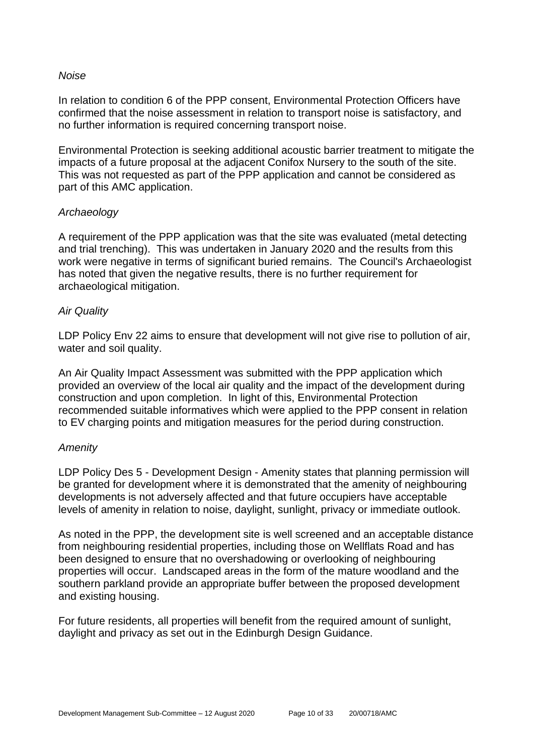#### *Noise*

In relation to condition 6 of the PPP consent, Environmental Protection Officers have confirmed that the noise assessment in relation to transport noise is satisfactory, and no further information is required concerning transport noise.

Environmental Protection is seeking additional acoustic barrier treatment to mitigate the impacts of a future proposal at the adjacent Conifox Nursery to the south of the site. This was not requested as part of the PPP application and cannot be considered as part of this AMC application.

#### *Archaeology*

A requirement of the PPP application was that the site was evaluated (metal detecting and trial trenching). This was undertaken in January 2020 and the results from this work were negative in terms of significant buried remains. The Council's Archaeologist has noted that given the negative results, there is no further requirement for archaeological mitigation.

#### *Air Quality*

LDP Policy Env 22 aims to ensure that development will not give rise to pollution of air, water and soil quality.

An Air Quality Impact Assessment was submitted with the PPP application which provided an overview of the local air quality and the impact of the development during construction and upon completion. In light of this, Environmental Protection recommended suitable informatives which were applied to the PPP consent in relation to EV charging points and mitigation measures for the period during construction.

#### *Amenity*

LDP Policy Des 5 - Development Design - Amenity states that planning permission will be granted for development where it is demonstrated that the amenity of neighbouring developments is not adversely affected and that future occupiers have acceptable levels of amenity in relation to noise, daylight, sunlight, privacy or immediate outlook.

As noted in the PPP, the development site is well screened and an acceptable distance from neighbouring residential properties, including those on Wellflats Road and has been designed to ensure that no overshadowing or overlooking of neighbouring properties will occur. Landscaped areas in the form of the mature woodland and the southern parkland provide an appropriate buffer between the proposed development and existing housing.

For future residents, all properties will benefit from the required amount of sunlight, daylight and privacy as set out in the Edinburgh Design Guidance.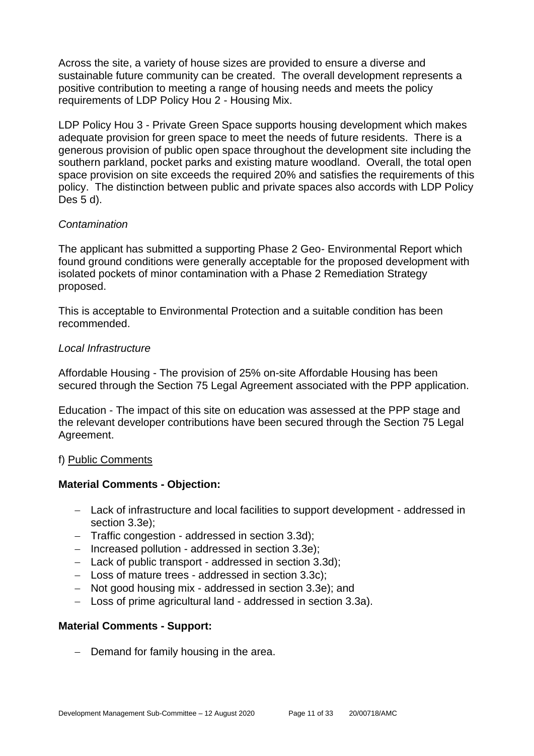Across the site, a variety of house sizes are provided to ensure a diverse and sustainable future community can be created. The overall development represents a positive contribution to meeting a range of housing needs and meets the policy requirements of LDP Policy Hou 2 - Housing Mix.

LDP Policy Hou 3 - Private Green Space supports housing development which makes adequate provision for green space to meet the needs of future residents. There is a generous provision of public open space throughout the development site including the southern parkland, pocket parks and existing mature woodland. Overall, the total open space provision on site exceeds the required 20% and satisfies the requirements of this policy. The distinction between public and private spaces also accords with LDP Policy Des 5 d).

#### *Contamination*

The applicant has submitted a supporting Phase 2 Geo- Environmental Report which found ground conditions were generally acceptable for the proposed development with isolated pockets of minor contamination with a Phase 2 Remediation Strategy proposed.

This is acceptable to Environmental Protection and a suitable condition has been recommended.

## *Local Infrastructure*

Affordable Housing - The provision of 25% on-site Affordable Housing has been secured through the Section 75 Legal Agreement associated with the PPP application.

Education - The impact of this site on education was assessed at the PPP stage and the relevant developer contributions have been secured through the Section 75 Legal Agreement.

## f) Public Comments

## **Material Comments - Objection:**

- − Lack of infrastructure and local facilities to support development addressed in section 3.3e);
- − Traffic congestion addressed in section 3.3d);
- − Increased pollution addressed in section 3.3e);
- − Lack of public transport addressed in section 3.3d);
- − Loss of mature trees addressed in section 3.3c);
- − Not good housing mix addressed in section 3.3e); and
- − Loss of prime agricultural land addressed in section 3.3a).

## **Material Comments - Support:**

− Demand for family housing in the area.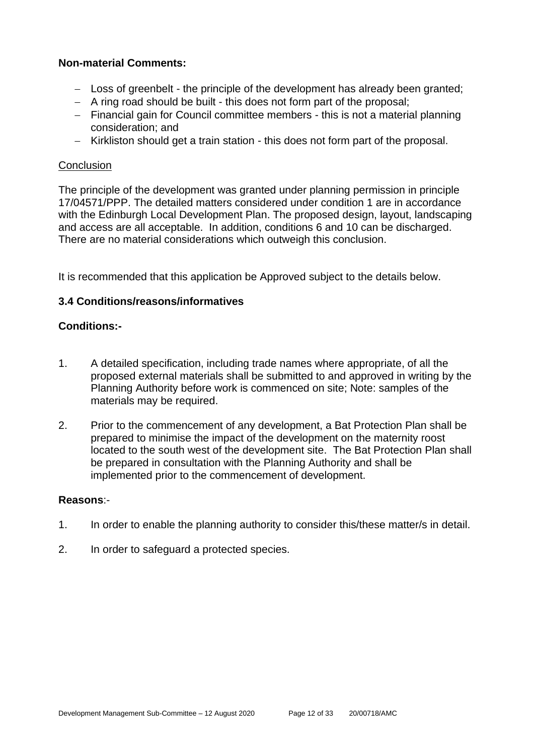## **Non-material Comments:**

- − Loss of greenbelt the principle of the development has already been granted;
- − A ring road should be built this does not form part of the proposal;
- − Financial gain for Council committee members this is not a material planning consideration; and
- − Kirkliston should get a train station this does not form part of the proposal.

## **Conclusion**

The principle of the development was granted under planning permission in principle 17/04571/PPP. The detailed matters considered under condition 1 are in accordance with the Edinburgh Local Development Plan. The proposed design, layout, landscaping and access are all acceptable. In addition, conditions 6 and 10 can be discharged. There are no material considerations which outweigh this conclusion.

It is recommended that this application be Approved subject to the details below.

## **3.4 Conditions/reasons/informatives**

## **Conditions:-**

- 1. A detailed specification, including trade names where appropriate, of all the proposed external materials shall be submitted to and approved in writing by the Planning Authority before work is commenced on site; Note: samples of the materials may be required.
- 2. Prior to the commencement of any development, a Bat Protection Plan shall be prepared to minimise the impact of the development on the maternity roost located to the south west of the development site. The Bat Protection Plan shall be prepared in consultation with the Planning Authority and shall be implemented prior to the commencement of development.

## **Reasons**:-

- 1. In order to enable the planning authority to consider this/these matter/s in detail.
- 2. In order to safeguard a protected species.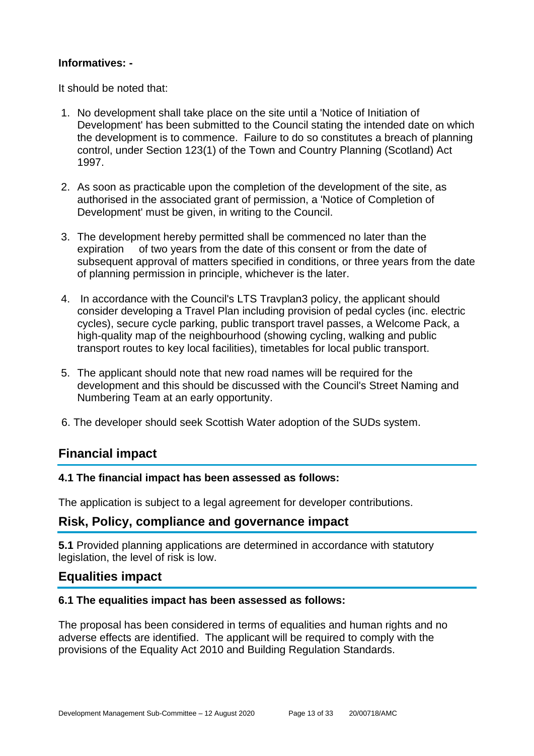## **Informatives: -**

It should be noted that:

- 1. No development shall take place on the site until a 'Notice of Initiation of Development' has been submitted to the Council stating the intended date on which the development is to commence. Failure to do so constitutes a breach of planning control, under Section 123(1) of the Town and Country Planning (Scotland) Act 1997.
- 2. As soon as practicable upon the completion of the development of the site, as authorised in the associated grant of permission, a 'Notice of Completion of Development' must be given, in writing to the Council.
- 3. The development hereby permitted shall be commenced no later than the expiration of two years from the date of this consent or from the date of subsequent approval of matters specified in conditions, or three years from the date of planning permission in principle, whichever is the later.
- 4. In accordance with the Council's LTS Travplan3 policy, the applicant should consider developing a Travel Plan including provision of pedal cycles (inc. electric cycles), secure cycle parking, public transport travel passes, a Welcome Pack, a high-quality map of the neighbourhood (showing cycling, walking and public transport routes to key local facilities), timetables for local public transport.
- 5. The applicant should note that new road names will be required for the development and this should be discussed with the Council's Street Naming and Numbering Team at an early opportunity.
- 6. The developer should seek Scottish Water adoption of the SUDs system.

## **Financial impact**

## **4.1 The financial impact has been assessed as follows:**

The application is subject to a legal agreement for developer contributions.

## **Risk, Policy, compliance and governance impact**

**5.1** Provided planning applications are determined in accordance with statutory legislation, the level of risk is low.

## **Equalities impact**

## **6.1 The equalities impact has been assessed as follows:**

The proposal has been considered in terms of equalities and human rights and no adverse effects are identified. The applicant will be required to comply with the provisions of the Equality Act 2010 and Building Regulation Standards.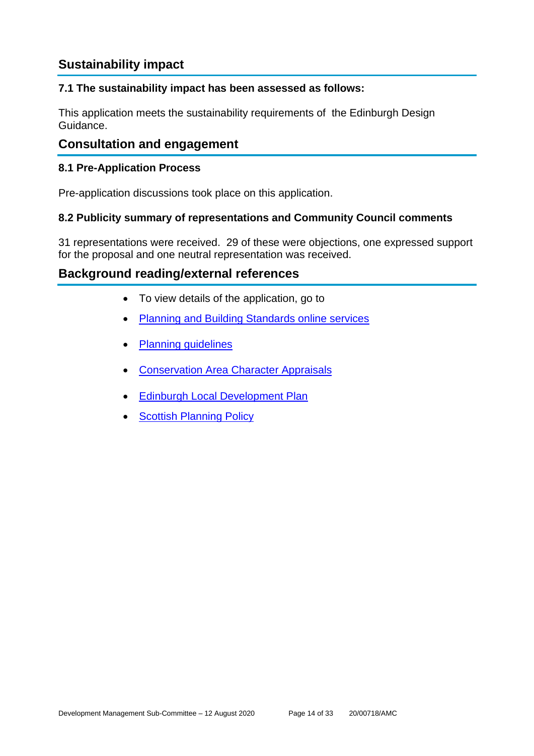## **Sustainability impact**

## **7.1 The sustainability impact has been assessed as follows:**

This application meets the sustainability requirements of the Edinburgh Design Guidance.

## **Consultation and engagement**

## **8.1 Pre-Application Process**

Pre-application discussions took place on this application.

## **8.2 Publicity summary of representations and Community Council comments**

31 representations were received. 29 of these were objections, one expressed support for the proposal and one neutral representation was received.

## **Background reading/external references**

- To view details of the application, go to
- [Planning and Building Standards online services](https://citydev-portal.edinburgh.gov.uk/idoxpa-web/search.do?action=simple&searchType=Application)
- [Planning guidelines](http://www.edinburgh.gov.uk/planningguidelines)
- [Conservation Area Character Appraisals](http://www.edinburgh.gov.uk/characterappraisals)
- **[Edinburgh Local Development Plan](http://www.edinburgh.gov.uk/localdevelopmentplan)**
- **[Scottish Planning Policy](http://www.scotland.gov.uk/Topics/Built-Environment/planning/Policy)**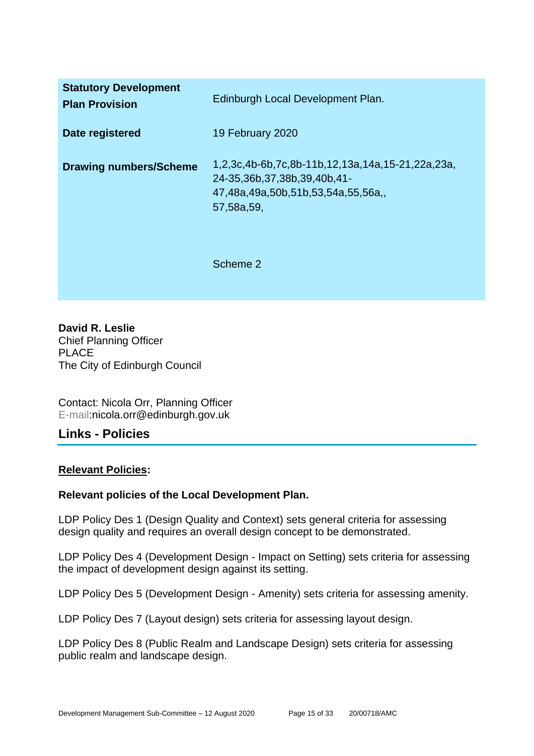| <b>Statutory Development</b><br><b>Plan Provision</b> | Edinburgh Local Development Plan.                                                                                                  |
|-------------------------------------------------------|------------------------------------------------------------------------------------------------------------------------------------|
| Date registered                                       | 19 February 2020                                                                                                                   |
| <b>Drawing numbers/Scheme</b>                         | 1,2,3c,4b-6b,7c,8b-11b,12,13a,14a,15-21,22a,23a,<br>24-35,36b,37,38b,39,40b,41-<br>47,48a,49a,50b,51b,53,54a,55,56a,<br>57,58a,59, |
|                                                       | Scheme 2                                                                                                                           |

**David R. Leslie** Chief Planning Officer PLACE The City of Edinburgh Council

Contact: Nicola Orr, Planning Officer E-mail:nicola.orr@edinburgh.gov.uk

## **Links - Policies**

## **Relevant Policies:**

## **Relevant policies of the Local Development Plan.**

LDP Policy Des 1 (Design Quality and Context) sets general criteria for assessing design quality and requires an overall design concept to be demonstrated.

LDP Policy Des 4 (Development Design - Impact on Setting) sets criteria for assessing the impact of development design against its setting.

LDP Policy Des 5 (Development Design - Amenity) sets criteria for assessing amenity.

LDP Policy Des 7 (Layout design) sets criteria for assessing layout design.

LDP Policy Des 8 (Public Realm and Landscape Design) sets criteria for assessing public realm and landscape design.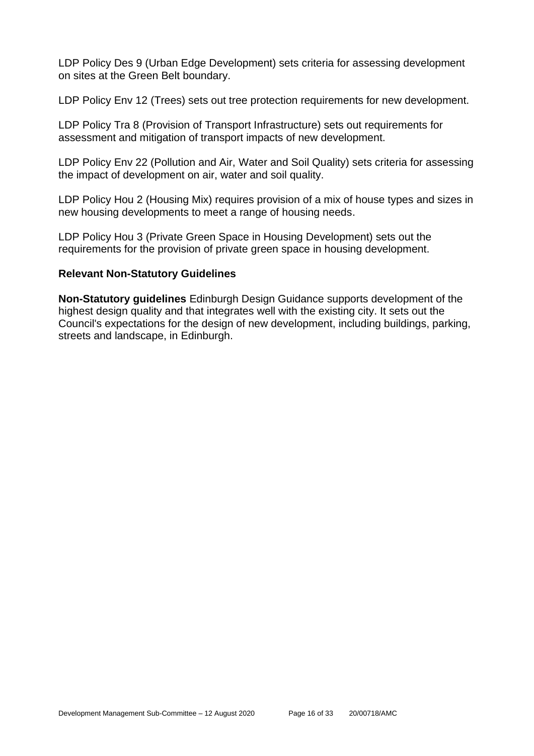LDP Policy Des 9 (Urban Edge Development) sets criteria for assessing development on sites at the Green Belt boundary.

LDP Policy Env 12 (Trees) sets out tree protection requirements for new development.

LDP Policy Tra 8 (Provision of Transport Infrastructure) sets out requirements for assessment and mitigation of transport impacts of new development.

LDP Policy Env 22 (Pollution and Air, Water and Soil Quality) sets criteria for assessing the impact of development on air, water and soil quality.

LDP Policy Hou 2 (Housing Mix) requires provision of a mix of house types and sizes in new housing developments to meet a range of housing needs.

LDP Policy Hou 3 (Private Green Space in Housing Development) sets out the requirements for the provision of private green space in housing development.

## **Relevant Non-Statutory Guidelines**

**Non-Statutory guidelines** Edinburgh Design Guidance supports development of the highest design quality and that integrates well with the existing city. It sets out the Council's expectations for the design of new development, including buildings, parking, streets and landscape, in Edinburgh.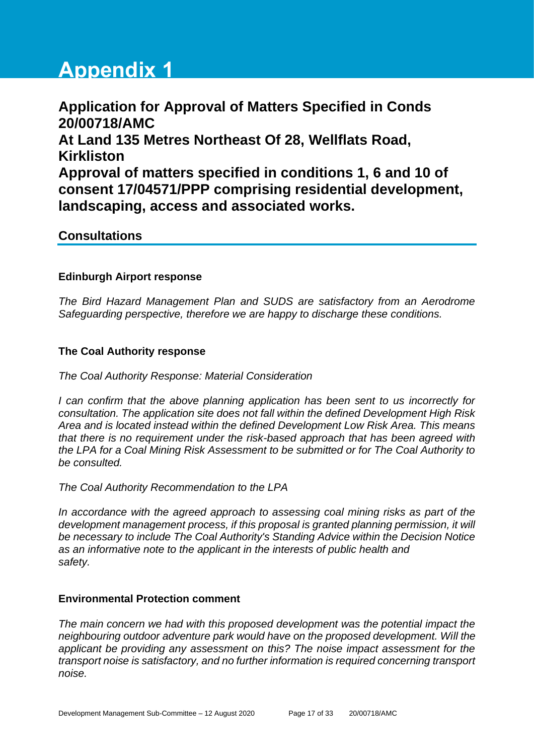# **Appendix 1**

**Application for Approval of Matters Specified in Conds 20/00718/AMC At Land 135 Metres Northeast Of 28, Wellflats Road, Kirkliston Approval of matters specified in conditions 1, 6 and 10 of consent 17/04571/PPP comprising residential development, landscaping, access and associated works.**

## **Consultations**

## **Edinburgh Airport response**

*The Bird Hazard Management Plan and SUDS are satisfactory from an Aerodrome Safeguarding perspective, therefore we are happy to discharge these conditions.*

#### **The Coal Authority response**

*The Coal Authority Response: Material Consideration*

*I* can confirm that the above planning application has been sent to us incorrectly for *consultation. The application site does not fall within the defined Development High Risk Area and is located instead within the defined Development Low Risk Area. This means that there is no requirement under the risk-based approach that has been agreed with the LPA for a Coal Mining Risk Assessment to be submitted or for The Coal Authority to be consulted.*

*The Coal Authority Recommendation to the LPA*

In accordance with the agreed approach to assessing coal mining risks as part of the *development management process, if this proposal is granted planning permission, it will be necessary to include The Coal Authority's Standing Advice within the Decision Notice as an informative note to the applicant in the interests of public health and safety.*

#### **Environmental Protection comment**

*The main concern we had with this proposed development was the potential impact the neighbouring outdoor adventure park would have on the proposed development. Will the applicant be providing any assessment on this? The noise impact assessment for the transport noise is satisfactory, and no further information is required concerning transport noise.*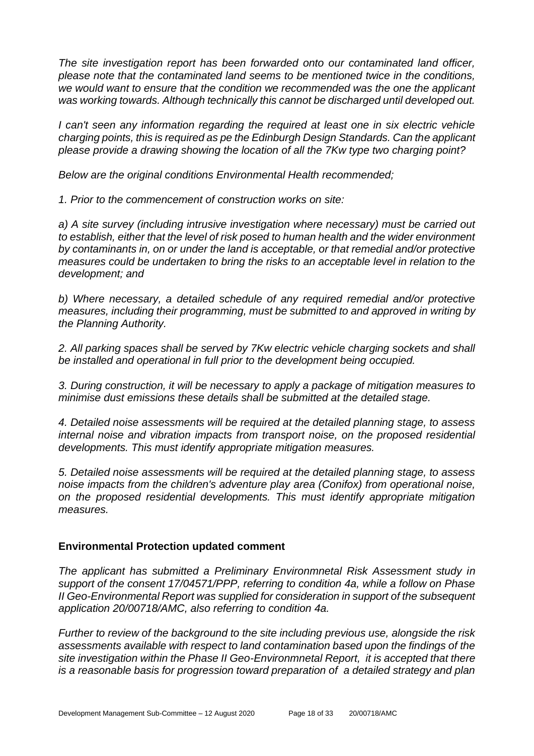*The site investigation report has been forwarded onto our contaminated land officer, please note that the contaminated land seems to be mentioned twice in the conditions, we would want to ensure that the condition we recommended was the one the applicant was working towards. Although technically this cannot be discharged until developed out.*

*I* can't seen any information regarding the required at least one in six electric vehicle *charging points, this is required as pe the Edinburgh Design Standards. Can the applicant please provide a drawing showing the location of all the 7Kw type two charging point?*

*Below are the original conditions Environmental Health recommended;*

*1. Prior to the commencement of construction works on site:* 

*a) A site survey (including intrusive investigation where necessary) must be carried out to establish, either that the level of risk posed to human health and the wider environment by contaminants in, on or under the land is acceptable, or that remedial and/or protective measures could be undertaken to bring the risks to an acceptable level in relation to the development; and* 

*b) Where necessary, a detailed schedule of any required remedial and/or protective measures, including their programming, must be submitted to and approved in writing by the Planning Authority.* 

*2. All parking spaces shall be served by 7Kw electric vehicle charging sockets and shall be installed and operational in full prior to the development being occupied.* 

*3. During construction, it will be necessary to apply a package of mitigation measures to minimise dust emissions these details shall be submitted at the detailed stage.* 

*4. Detailed noise assessments will be required at the detailed planning stage, to assess internal noise and vibration impacts from transport noise, on the proposed residential developments. This must identify appropriate mitigation measures.* 

*5. Detailed noise assessments will be required at the detailed planning stage, to assess noise impacts from the children's adventure play area (Conifox) from operational noise, on the proposed residential developments. This must identify appropriate mitigation measures.*

## **Environmental Protection updated comment**

*The applicant has submitted a Preliminary Environmnetal Risk Assessment study in support of the consent 17/04571/PPP, referring to condition 4a, while a follow on Phase II Geo-Environmental Report was supplied for consideration in support of the subsequent application 20/00718/AMC, also referring to condition 4a.*

*Further to review of the background to the site including previous use, alongside the risk assessments available with respect to land contamination based upon the findings of the site investigation within the Phase II Geo-Environmnetal Report, it is accepted that there is a reasonable basis for progression toward preparation of a detailed strategy and plan*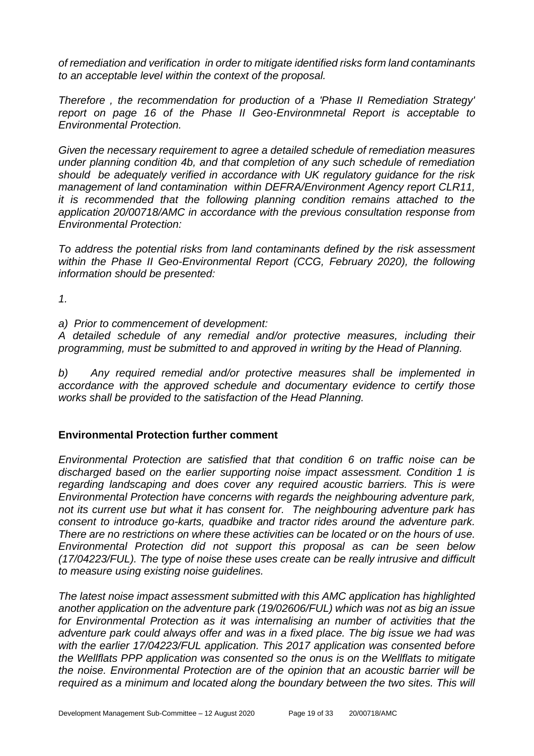*of remediation and verification in order to mitigate identified risks form land contaminants to an acceptable level within the context of the proposal.*

*Therefore , the recommendation for production of a 'Phase II Remediation Strategy' report on page 16 of the Phase II Geo-Environmnetal Report is acceptable to Environmental Protection.* 

*Given the necessary requirement to agree a detailed schedule of remediation measures under planning condition 4b, and that completion of any such schedule of remediation should be adequately verified in accordance with UK regulatory guidance for the risk management of land contamination within DEFRA/Environment Agency report CLR11, it is recommended that the following planning condition remains attached to the application 20/00718/AMC in accordance with the previous consultation response from Environmental Protection:* 

*To address the potential risks from land contaminants defined by the risk assessment*  within the Phase II Geo-Environmental Report (CCG, February 2020), the following *information should be presented:* 

*1.* 

*a) Prior to commencement of development:*

*A detailed schedule of any remedial and/or protective measures, including their programming, must be submitted to and approved in writing by the Head of Planning.*

*b) Any required remedial and/or protective measures shall be implemented in accordance with the approved schedule and documentary evidence to certify those works shall be provided to the satisfaction of the Head Planning.*

## **Environmental Protection further comment**

*Environmental Protection are satisfied that that condition 6 on traffic noise can be discharged based on the earlier supporting noise impact assessment. Condition 1 is regarding landscaping and does cover any required acoustic barriers. This is were Environmental Protection have concerns with regards the neighbouring adventure park, not its current use but what it has consent for. The neighbouring adventure park has consent to introduce go-karts, quadbike and tractor rides around the adventure park. There are no restrictions on where these activities can be located or on the hours of use. Environmental Protection did not support this proposal as can be seen below (17/04223/FUL). The type of noise these uses create can be really intrusive and difficult to measure using existing noise guidelines.* 

*The latest noise impact assessment submitted with this AMC application has highlighted another application on the adventure park (19/02606/FUL) which was not as big an issue for Environmental Protection as it was internalising an number of activities that the adventure park could always offer and was in a fixed place. The big issue we had was with the earlier 17/04223/FUL application. This 2017 application was consented before the Wellflats PPP application was consented so the onus is on the Wellflats to mitigate the noise. Environmental Protection are of the opinion that an acoustic barrier will be required as a minimum and located along the boundary between the two sites. This will*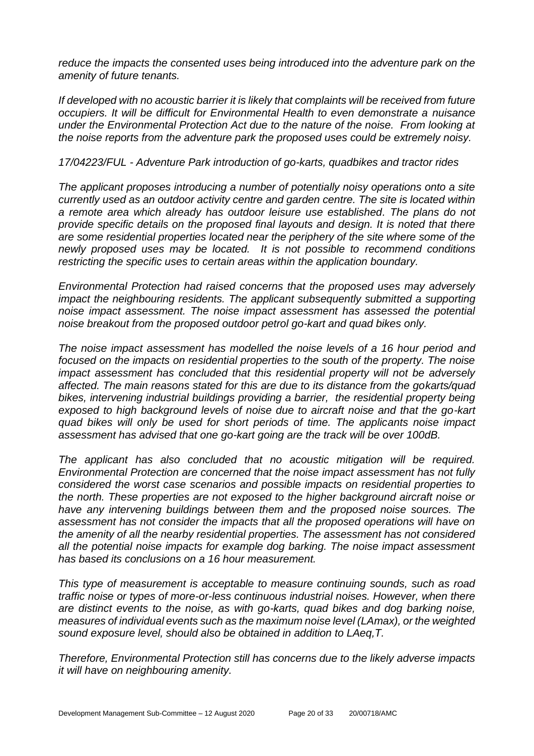*reduce the impacts the consented uses being introduced into the adventure park on the amenity of future tenants.* 

*If developed with no acoustic barrier it is likely that complaints will be received from future occupiers. It will be difficult for Environmental Health to even demonstrate a nuisance under the Environmental Protection Act due to the nature of the noise. From looking at the noise reports from the adventure park the proposed uses could be extremely noisy.*

#### *17/04223/FUL - Adventure Park introduction of go-karts, quadbikes and tractor rides*

*The applicant proposes introducing a number of potentially noisy operations onto a site currently used as an outdoor activity centre and garden centre. The site is located within a remote area which already has outdoor leisure use established. The plans do not provide specific details on the proposed final layouts and design. It is noted that there are some residential properties located near the periphery of the site where some of the newly proposed uses may be located. It is not possible to recommend conditions restricting the specific uses to certain areas within the application boundary.* 

*Environmental Protection had raised concerns that the proposed uses may adversely impact the neighbouring residents. The applicant subsequently submitted a supporting noise impact assessment. The noise impact assessment has assessed the potential noise breakout from the proposed outdoor petrol go-kart and quad bikes only.* 

*The noise impact assessment has modelled the noise levels of a 16 hour period and focused on the impacts on residential properties to the south of the property. The noise impact assessment has concluded that this residential property will not be adversely affected. The main reasons stated for this are due to its distance from the gokarts/quad bikes, intervening industrial buildings providing a barrier, the residential property being exposed to high background levels of noise due to aircraft noise and that the go-kart quad bikes will only be used for short periods of time. The applicants noise impact assessment has advised that one go-kart going are the track will be over 100dB.* 

*The applicant has also concluded that no acoustic mitigation will be required. Environmental Protection are concerned that the noise impact assessment has not fully considered the worst case scenarios and possible impacts on residential properties to the north. These properties are not exposed to the higher background aircraft noise or have any intervening buildings between them and the proposed noise sources. The assessment has not consider the impacts that all the proposed operations will have on the amenity of all the nearby residential properties. The assessment has not considered all the potential noise impacts for example dog barking. The noise impact assessment has based its conclusions on a 16 hour measurement.* 

*This type of measurement is acceptable to measure continuing sounds, such as road traffic noise or types of more-or-less continuous industrial noises. However, when there are distinct events to the noise, as with go-karts, quad bikes and dog barking noise, measures of individual events such as the maximum noise level (LAmax), or the weighted sound exposure level, should also be obtained in addition to LAeq,T.* 

*Therefore, Environmental Protection still has concerns due to the likely adverse impacts it will have on neighbouring amenity.*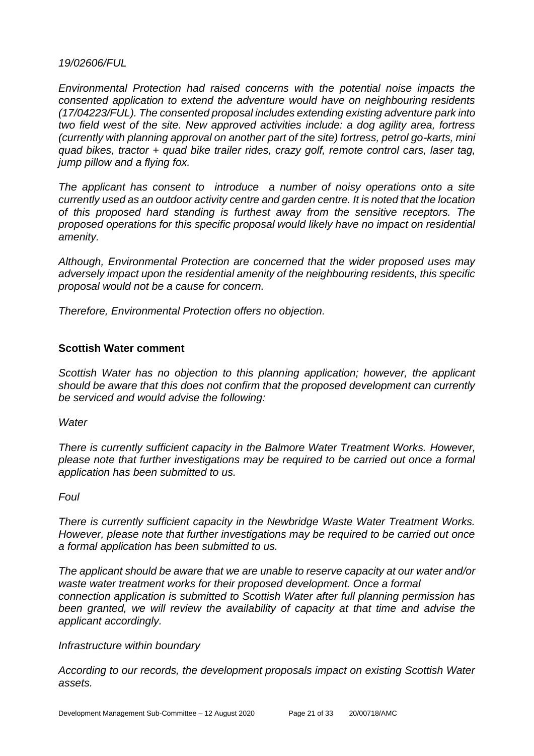#### *19/02606/FUL*

*Environmental Protection had raised concerns with the potential noise impacts the consented application to extend the adventure would have on neighbouring residents (17/04223/FUL). The consented proposal includes extending existing adventure park into two field west of the site. New approved activities include: a dog agility area, fortress (currently with planning approval on another part of the site) fortress, petrol go-karts, mini quad bikes, tractor + quad bike trailer rides, crazy golf, remote control cars, laser tag, jump pillow and a flying fox.* 

*The applicant has consent to introduce a number of noisy operations onto a site currently used as an outdoor activity centre and garden centre. It is noted that the location of this proposed hard standing is furthest away from the sensitive receptors. The proposed operations for this specific proposal would likely have no impact on residential amenity.* 

*Although, Environmental Protection are concerned that the wider proposed uses may adversely impact upon the residential amenity of the neighbouring residents, this specific proposal would not be a cause for concern.* 

*Therefore, Environmental Protection offers no objection.* 

## **Scottish Water comment**

*Scottish Water has no objection to this planning application; however, the applicant should be aware that this does not confirm that the proposed development can currently be serviced and would advise the following:*

*Water*

*There is currently sufficient capacity in the Balmore Water Treatment Works. However, please note that further investigations may be required to be carried out once a formal application has been submitted to us.*

*Foul*

*There is currently sufficient capacity in the Newbridge Waste Water Treatment Works. However, please note that further investigations may be required to be carried out once a formal application has been submitted to us.*

*The applicant should be aware that we are unable to reserve capacity at our water and/or waste water treatment works for their proposed development. Once a formal connection application is submitted to Scottish Water after full planning permission has been granted, we will review the availability of capacity at that time and advise the applicant accordingly.*

*Infrastructure within boundary*

*According to our records, the development proposals impact on existing Scottish Water assets.*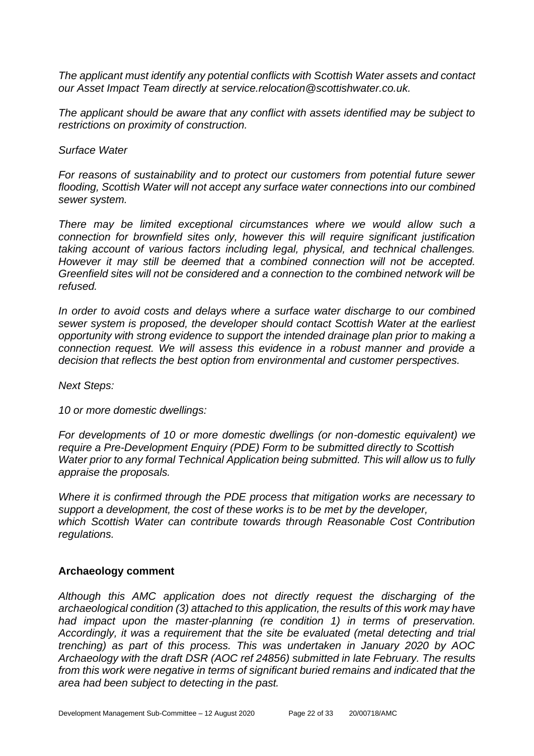*The applicant must identify any potential conflicts with Scottish Water assets and contact our Asset Impact Team directly at service.relocation@scottishwater.co.uk.* 

*The applicant should be aware that any conflict with assets identified may be subject to restrictions on proximity of construction.*

#### *Surface Water*

*For reasons of sustainability and to protect our customers from potential future sewer flooding, Scottish Water will not accept any surface water connections into our combined sewer system.*

*There may be limited exceptional circumstances where we would allow such a connection for brownfield sites only, however this will require significant justification taking account of various factors including legal, physical, and technical challenges. However it may still be deemed that a combined connection will not be accepted. Greenfield sites will not be considered and a connection to the combined network will be refused.*

*In order to avoid costs and delays where a surface water discharge to our combined sewer system is proposed, the developer should contact Scottish Water at the earliest opportunity with strong evidence to support the intended drainage plan prior to making a connection request. We will assess this evidence in a robust manner and provide a decision that reflects the best option from environmental and customer perspectives.*

*Next Steps:*

*10 or more domestic dwellings:*

*For developments of 10 or more domestic dwellings (or non-domestic equivalent) we require a Pre-Development Enquiry (PDE) Form to be submitted directly to Scottish Water prior to any formal Technical Application being submitted. This will allow us to fully appraise the proposals.*

*Where it is confirmed through the PDE process that mitigation works are necessary to support a development, the cost of these works is to be met by the developer, which Scottish Water can contribute towards through Reasonable Cost Contribution regulations.*

#### **Archaeology comment**

*Although this AMC application does not directly request the discharging of the archaeological condition (3) attached to this application, the results of this work may have had impact upon the master-planning (re condition 1) in terms of preservation. Accordingly, it was a requirement that the site be evaluated (metal detecting and trial trenching) as part of this process. This was undertaken in January 2020 by AOC Archaeology with the draft DSR (AOC ref 24856) submitted in late February. The results from this work were negative in terms of significant buried remains and indicated that the area had been subject to detecting in the past.*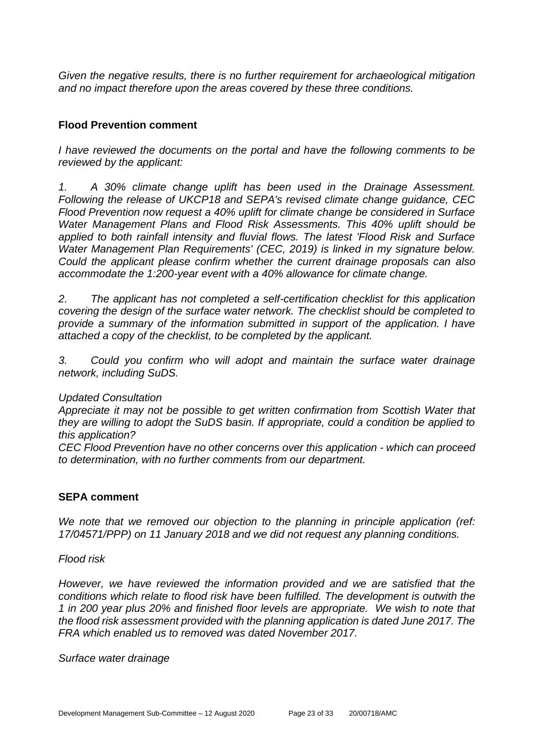*Given the negative results, there is no further requirement for archaeological mitigation and no impact therefore upon the areas covered by these three conditions.*

## **Flood Prevention comment**

*I have reviewed the documents on the portal and have the following comments to be reviewed by the applicant:* 

*1. A 30% climate change uplift has been used in the Drainage Assessment. Following the release of UKCP18 and SEPA's revised climate change guidance, CEC Flood Prevention now request a 40% uplift for climate change be considered in Surface Water Management Plans and Flood Risk Assessments. This 40% uplift should be applied to both rainfall intensity and fluvial flows. The latest 'Flood Risk and Surface Water Management Plan Requirements' (CEC, 2019) is linked in my signature below. Could the applicant please confirm whether the current drainage proposals can also accommodate the 1:200-year event with a 40% allowance for climate change.*

*2. The applicant has not completed a self-certification checklist for this application covering the design of the surface water network. The checklist should be completed to provide a summary of the information submitted in support of the application. I have attached a copy of the checklist, to be completed by the applicant.*

*3. Could you confirm who will adopt and maintain the surface water drainage network, including SuDS.*

## *Updated Consultation*

*Appreciate it may not be possible to get written confirmation from Scottish Water that they are willing to adopt the SuDS basin. If appropriate, could a condition be applied to this application?* 

*CEC Flood Prevention have no other concerns over this application - which can proceed to determination, with no further comments from our department.* 

## **SEPA comment**

*We note that we removed our objection to the planning in principle application (ref: 17/04571/PPP) on 11 January 2018 and we did not request any planning conditions.* 

## *Flood risk*

*However, we have reviewed the information provided and we are satisfied that the conditions which relate to flood risk have been fulfilled. The development is outwith the 1 in 200 year plus 20% and finished floor levels are appropriate. We wish to note that the flood risk assessment provided with the planning application is dated June 2017. The FRA which enabled us to removed was dated November 2017.*

*Surface water drainage*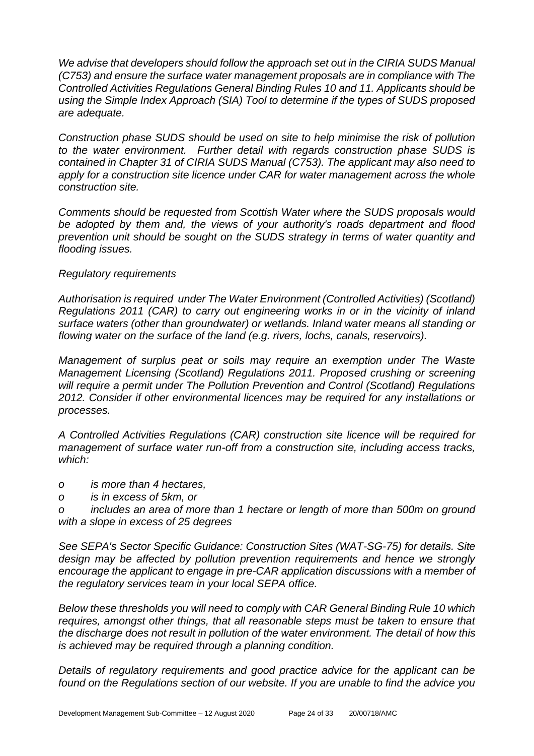*We advise that developers should follow the approach set out in the CIRIA SUDS Manual (C753) and ensure the surface water management proposals are in compliance with The Controlled Activities Regulations General Binding Rules 10 and 11. Applicants should be using the Simple Index Approach (SIA) Tool to determine if the types of SUDS proposed are adequate.*

*Construction phase SUDS should be used on site to help minimise the risk of pollution to the water environment. Further detail with regards construction phase SUDS is contained in Chapter 31 of CIRIA SUDS Manual (C753). The applicant may also need to*  apply for a construction site licence under CAR for water management across the whole *construction site.* 

*Comments should be requested from Scottish Water where the SUDS proposals would be adopted by them and, the views of your authority's roads department and flood prevention unit should be sought on the SUDS strategy in terms of water quantity and flooding issues.*

## *Regulatory requirements*

*Authorisation is required under The Water Environment (Controlled Activities) (Scotland) Regulations 2011 (CAR) to carry out engineering works in or in the vicinity of inland surface waters (other than groundwater) or wetlands. Inland water means all standing or flowing water on the surface of the land (e.g. rivers, lochs, canals, reservoirs).*

*Management of surplus peat or soils may require an exemption under The Waste Management Licensing (Scotland) Regulations 2011. Proposed crushing or screening will require a permit under The Pollution Prevention and Control (Scotland) Regulations 2012. Consider if other environmental licences may be required for any installations or processes.*

*A Controlled Activities Regulations (CAR) construction site licence will be required for management of surface water run-off from a construction site, including access tracks, which:*

- *o is more than 4 hectares,*
- *o is in excess of 5km, or*

*o includes an area of more than 1 hectare or length of more than 500m on ground with a slope in excess of 25 degrees*

*See SEPA's Sector Specific Guidance: Construction Sites (WAT-SG-75) for details. Site design may be affected by pollution prevention requirements and hence we strongly encourage the applicant to engage in pre-CAR application discussions with a member of the regulatory services team in your local SEPA office.*

*Below these thresholds you will need to comply with CAR General Binding Rule 10 which requires, amongst other things, that all reasonable steps must be taken to ensure that the discharge does not result in pollution of the water environment. The detail of how this is achieved may be required through a planning condition.*

*Details of regulatory requirements and good practice advice for the applicant can be found on the Regulations section of our website. If you are unable to find the advice you*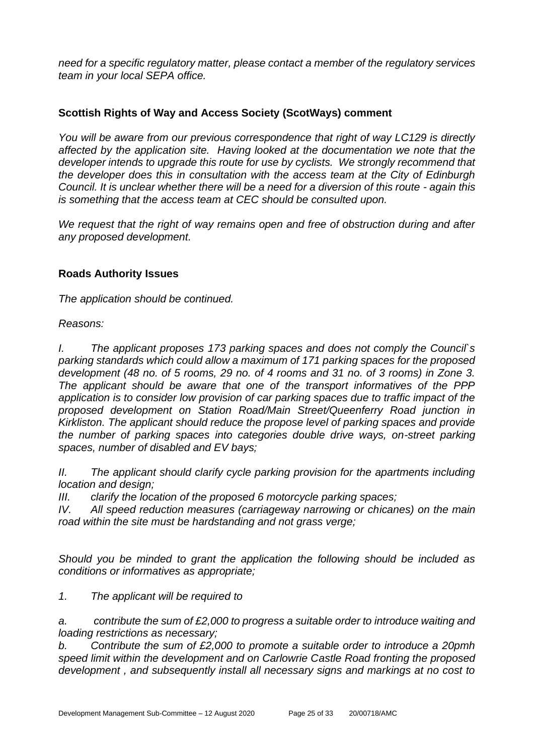*need for a specific regulatory matter, please contact a member of the regulatory services team in your local SEPA office.* 

## **Scottish Rights of Way and Access Society (ScotWays) comment**

*You will be aware from our previous correspondence that right of way LC129 is directly affected by the application site. Having looked at the documentation we note that the developer intends to upgrade this route for use by cyclists. We strongly recommend that the developer does this in consultation with the access team at the City of Edinburgh Council. It is unclear whether there will be a need for a diversion of this route - again this is something that the access team at CEC should be consulted upon.*

*We request that the right of way remains open and free of obstruction during and after any proposed development.* 

## **Roads Authority Issues**

*The application should be continued.*

*Reasons:*

*I. The applicant proposes 173 parking spaces and does not comply the Council`s parking standards which could allow a maximum of 171 parking spaces for the proposed development (48 no. of 5 rooms, 29 no. of 4 rooms and 31 no. of 3 rooms) in Zone 3. The applicant should be aware that one of the transport informatives of the PPP application is to consider low provision of car parking spaces due to traffic impact of the proposed development on Station Road/Main Street/Queenferry Road junction in Kirkliston. The applicant should reduce the propose level of parking spaces and provide the number of parking spaces into categories double drive ways, on-street parking spaces, number of disabled and EV bays;*

*II. The applicant should clarify cycle parking provision for the apartments including location and design;*

*III. clarify the location of the proposed 6 motorcycle parking spaces;*

*IV. All speed reduction measures (carriageway narrowing or chicanes) on the main road within the site must be hardstanding and not grass verge;*

*Should you be minded to grant the application the following should be included as conditions or informatives as appropriate;*

*1. The applicant will be required to*

*a. contribute the sum of £2,000 to progress a suitable order to introduce waiting and loading restrictions as necessary;*

*b. Contribute the sum of £2,000 to promote a suitable order to introduce a 20pmh speed limit within the development and on Carlowrie Castle Road fronting the proposed development , and subsequently install all necessary signs and markings at no cost to*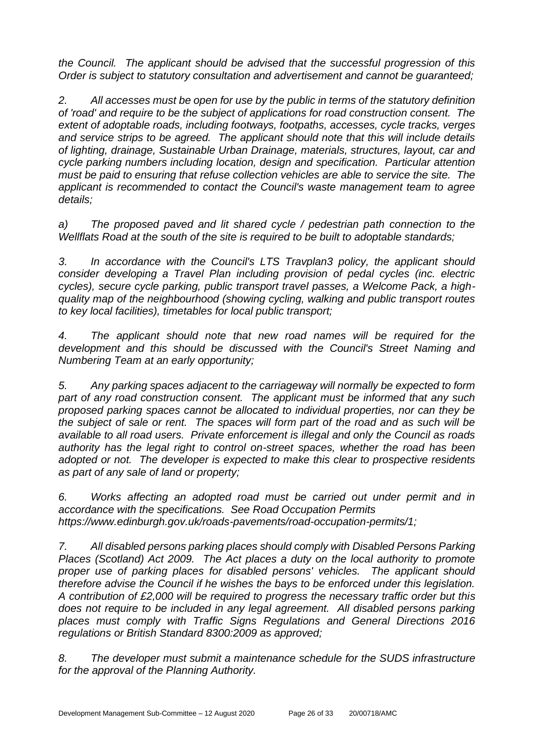*the Council. The applicant should be advised that the successful progression of this Order is subject to statutory consultation and advertisement and cannot be guaranteed;*

*2. All accesses must be open for use by the public in terms of the statutory definition of 'road' and require to be the subject of applications for road construction consent. The extent of adoptable roads, including footways, footpaths, accesses, cycle tracks, verges and service strips to be agreed. The applicant should note that this will include details of lighting, drainage, Sustainable Urban Drainage, materials, structures, layout, car and cycle parking numbers including location, design and specification. Particular attention must be paid to ensuring that refuse collection vehicles are able to service the site. The applicant is recommended to contact the Council's waste management team to agree details;*

*a) The proposed paved and lit shared cycle / pedestrian path connection to the Wellflats Road at the south of the site is required to be built to adoptable standards;*

*3. In accordance with the Council's LTS Travplan3 policy, the applicant should consider developing a Travel Plan including provision of pedal cycles (inc. electric cycles), secure cycle parking, public transport travel passes, a Welcome Pack, a highquality map of the neighbourhood (showing cycling, walking and public transport routes to key local facilities), timetables for local public transport;*

*4. The applicant should note that new road names will be required for the development and this should be discussed with the Council's Street Naming and Numbering Team at an early opportunity;*

*5. Any parking spaces adjacent to the carriageway will normally be expected to form part of any road construction consent. The applicant must be informed that any such proposed parking spaces cannot be allocated to individual properties, nor can they be the subject of sale or rent. The spaces will form part of the road and as such will be available to all road users. Private enforcement is illegal and only the Council as roads authority has the legal right to control on-street spaces, whether the road has been adopted or not. The developer is expected to make this clear to prospective residents as part of any sale of land or property;*

*6. Works affecting an adopted road must be carried out under permit and in accordance with the specifications. See Road Occupation Permits https://www.edinburgh.gov.uk/roads-pavements/road-occupation-permits/1;*

*7. All disabled persons parking places should comply with Disabled Persons Parking Places (Scotland) Act 2009. The Act places a duty on the local authority to promote proper use of parking places for disabled persons' vehicles. The applicant should therefore advise the Council if he wishes the bays to be enforced under this legislation. A contribution of £2,000 will be required to progress the necessary traffic order but this*  does not require to be included in any legal agreement. All disabled persons parking *places must comply with Traffic Signs Regulations and General Directions 2016 regulations or British Standard 8300:2009 as approved;*

*8. The developer must submit a maintenance schedule for the SUDS infrastructure for the approval of the Planning Authority.*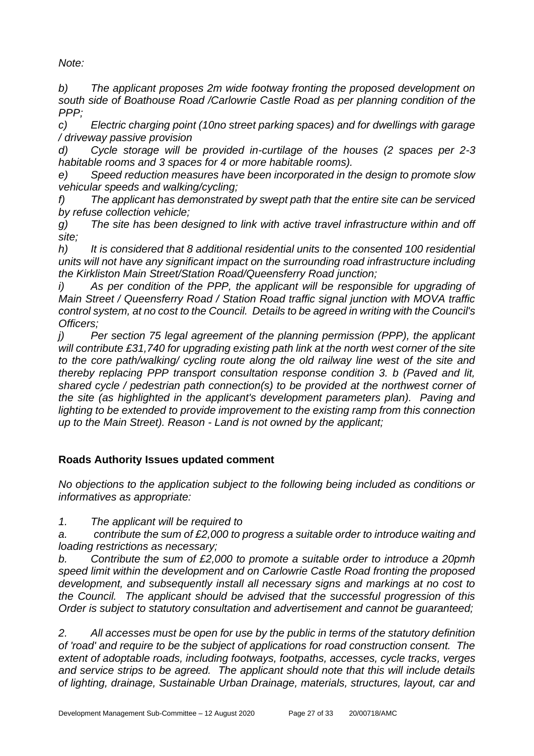*Note:*

*b) The applicant proposes 2m wide footway fronting the proposed development on south side of Boathouse Road /Carlowrie Castle Road as per planning condition of the PPP;*

*c) Electric charging point (10no street parking spaces) and for dwellings with garage / driveway passive provision*

*d) Cycle storage will be provided in-curtilage of the houses (2 spaces per 2-3 habitable rooms and 3 spaces for 4 or more habitable rooms).*

*e) Speed reduction measures have been incorporated in the design to promote slow vehicular speeds and walking/cycling;*

*f) The applicant has demonstrated by swept path that the entire site can be serviced by refuse collection vehicle;*

*g) The site has been designed to link with active travel infrastructure within and off site;*

*h) It is considered that 8 additional residential units to the consented 100 residential units will not have any significant impact on the surrounding road infrastructure including the Kirkliston Main Street/Station Road/Queensferry Road junction;*

*i*) As per condition of the PPP, the applicant will be responsible for upgrading of *Main Street / Queensferry Road / Station Road traffic signal junction with MOVA traffic control system, at no cost to the Council. Details to be agreed in writing with the Council's Officers;*

*j*) *Per section 75 legal agreement of the planning permission (PPP), the applicant will contribute £31,740 for upgrading existing path link at the north west corner of the site to the core path/walking/ cycling route along the old railway line west of the site and thereby replacing PPP transport consultation response condition 3. b (Paved and lit, shared cycle / pedestrian path connection(s) to be provided at the northwest corner of the site (as highlighted in the applicant's development parameters plan). Paving and lighting to be extended to provide improvement to the existing ramp from this connection up to the Main Street). Reason - Land is not owned by the applicant;*

## **Roads Authority Issues updated comment**

*No objections to the application subject to the following being included as conditions or informatives as appropriate:*

*1. The applicant will be required to*

*a. contribute the sum of £2,000 to progress a suitable order to introduce waiting and loading restrictions as necessary;*

*b. Contribute the sum of £2,000 to promote a suitable order to introduce a 20pmh speed limit within the development and on Carlowrie Castle Road fronting the proposed development, and subsequently install all necessary signs and markings at no cost to the Council. The applicant should be advised that the successful progression of this Order is subject to statutory consultation and advertisement and cannot be guaranteed;*

*2. All accesses must be open for use by the public in terms of the statutory definition of 'road' and require to be the subject of applications for road construction consent. The extent of adoptable roads, including footways, footpaths, accesses, cycle tracks, verges and service strips to be agreed. The applicant should note that this will include details of lighting, drainage, Sustainable Urban Drainage, materials, structures, layout, car and*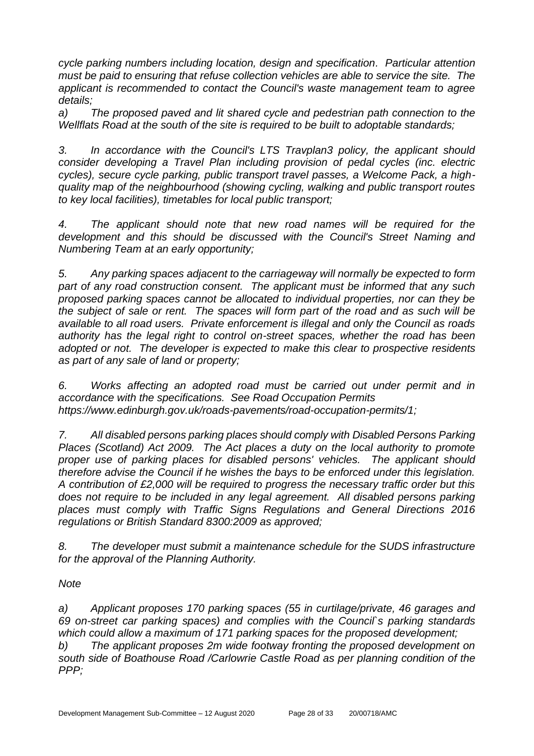*cycle parking numbers including location, design and specification. Particular attention must be paid to ensuring that refuse collection vehicles are able to service the site. The applicant is recommended to contact the Council's waste management team to agree details;*

*a) The proposed paved and lit shared cycle and pedestrian path connection to the Wellflats Road at the south of the site is required to be built to adoptable standards;*

*3. In accordance with the Council's LTS Travplan3 policy, the applicant should consider developing a Travel Plan including provision of pedal cycles (inc. electric cycles), secure cycle parking, public transport travel passes, a Welcome Pack, a highquality map of the neighbourhood (showing cycling, walking and public transport routes to key local facilities), timetables for local public transport;*

*4. The applicant should note that new road names will be required for the development and this should be discussed with the Council's Street Naming and Numbering Team at an early opportunity;*

*5. Any parking spaces adjacent to the carriageway will normally be expected to form part of any road construction consent. The applicant must be informed that any such proposed parking spaces cannot be allocated to individual properties, nor can they be the subject of sale or rent. The spaces will form part of the road and as such will be available to all road users. Private enforcement is illegal and only the Council as roads authority has the legal right to control on-street spaces, whether the road has been adopted or not. The developer is expected to make this clear to prospective residents as part of any sale of land or property;*

*6. Works affecting an adopted road must be carried out under permit and in accordance with the specifications. See Road Occupation Permits https://www.edinburgh.gov.uk/roads-pavements/road-occupation-permits/1;*

*7. All disabled persons parking places should comply with Disabled Persons Parking Places (Scotland) Act 2009. The Act places a duty on the local authority to promote proper use of parking places for disabled persons' vehicles. The applicant should therefore advise the Council if he wishes the bays to be enforced under this legislation. A contribution of £2,000 will be required to progress the necessary traffic order but this does not require to be included in any legal agreement. All disabled persons parking places must comply with Traffic Signs Regulations and General Directions 2016 regulations or British Standard 8300:2009 as approved;*

*8. The developer must submit a maintenance schedule for the SUDS infrastructure for the approval of the Planning Authority.*

*Note*

*a) Applicant proposes 170 parking spaces (55 in curtilage/private, 46 garages and 69 on-street car parking spaces) and complies with the Council`s parking standards which could allow a maximum of 171 parking spaces for the proposed development; b) The applicant proposes 2m wide footway fronting the proposed development on south side of Boathouse Road /Carlowrie Castle Road as per planning condition of the PPP;*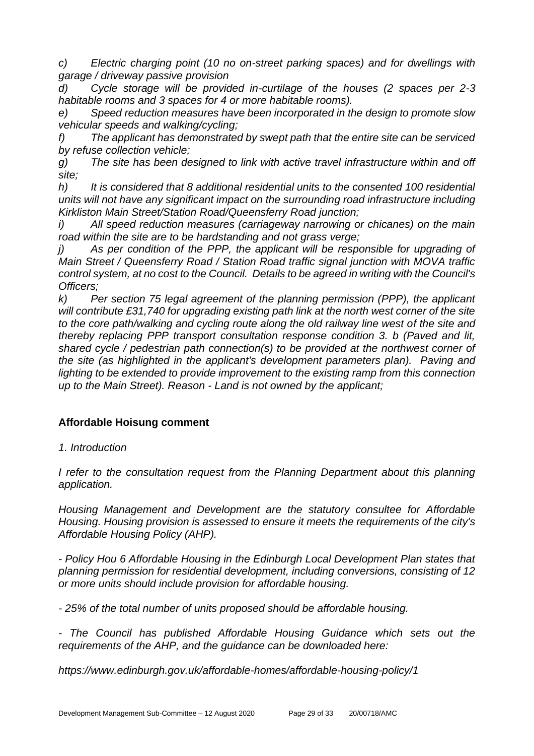*c) Electric charging point (10 no on-street parking spaces) and for dwellings with garage / driveway passive provision*

*d) Cycle storage will be provided in-curtilage of the houses (2 spaces per 2-3 habitable rooms and 3 spaces for 4 or more habitable rooms).*

*e) Speed reduction measures have been incorporated in the design to promote slow vehicular speeds and walking/cycling;*

*f) The applicant has demonstrated by swept path that the entire site can be serviced by refuse collection vehicle;*

*g) The site has been designed to link with active travel infrastructure within and off site;*

*h) It is considered that 8 additional residential units to the consented 100 residential units will not have any significant impact on the surrounding road infrastructure including Kirkliston Main Street/Station Road/Queensferry Road junction;*

*i) All speed reduction measures (carriageway narrowing or chicanes) on the main road within the site are to be hardstanding and not grass verge;*

As per condition of the PPP, the applicant will be responsible for upgrading of *Main Street / Queensferry Road / Station Road traffic signal junction with MOVA traffic control system, at no cost to the Council. Details to be agreed in writing with the Council's Officers;*

*k) Per section 75 legal agreement of the planning permission (PPP), the applicant will contribute £31,740 for upgrading existing path link at the north west corner of the site to the core path/walking and cycling route along the old railway line west of the site and thereby replacing PPP transport consultation response condition 3. b (Paved and lit, shared cycle / pedestrian path connection(s) to be provided at the northwest corner of the site (as highlighted in the applicant's development parameters plan). Paving and*  lighting to be extended to provide improvement to the existing ramp from this connection *up to the Main Street). Reason - Land is not owned by the applicant;*

## **Affordable Hoisung comment**

*1. Introduction*

*I refer to the consultation request from the Planning Department about this planning application.*

*Housing Management and Development are the statutory consultee for Affordable Housing. Housing provision is assessed to ensure it meets the requirements of the city's Affordable Housing Policy (AHP).*

*- Policy Hou 6 Affordable Housing in the Edinburgh Local Development Plan states that planning permission for residential development, including conversions, consisting of 12 or more units should include provision for affordable housing.* 

*- 25% of the total number of units proposed should be affordable housing.* 

*- The Council has published Affordable Housing Guidance which sets out the requirements of the AHP, and the guidance can be downloaded here:*

*https://www.edinburgh.gov.uk/affordable-homes/affordable-housing-policy/1*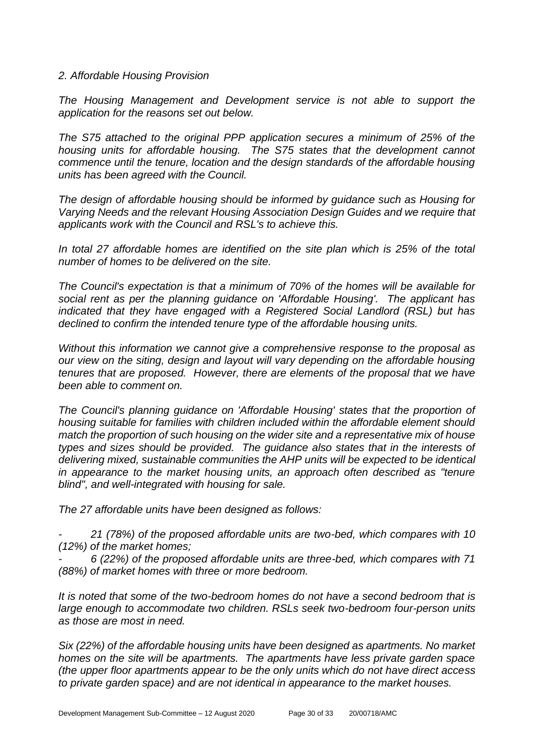#### *2. Affordable Housing Provision*

*The Housing Management and Development service is not able to support the application for the reasons set out below.*

*The S75 attached to the original PPP application secures a minimum of 25% of the housing units for affordable housing. The S75 states that the development cannot commence until the tenure, location and the design standards of the affordable housing units has been agreed with the Council.* 

*The design of affordable housing should be informed by guidance such as Housing for Varying Needs and the relevant Housing Association Design Guides and we require that applicants work with the Council and RSL's to achieve this.*

*In total 27 affordable homes are identified on the site plan which is 25% of the total number of homes to be delivered on the site.*

*The Council's expectation is that a minimum of 70% of the homes will be available for social rent as per the planning guidance on 'Affordable Housing'. The applicant has indicated that they have engaged with a Registered Social Landlord (RSL) but has declined to confirm the intended tenure type of the affordable housing units.*

*Without this information we cannot give a comprehensive response to the proposal as our view on the siting, design and layout will vary depending on the affordable housing tenures that are proposed. However, there are elements of the proposal that we have been able to comment on.*

*The Council's planning guidance on 'Affordable Housing' states that the proportion of housing suitable for families with children included within the affordable element should match the proportion of such housing on the wider site and a representative mix of house types and sizes should be provided. The guidance also states that in the interests of delivering mixed, sustainable communities the AHP units will be expected to be identical in appearance to the market housing units, an approach often described as "tenure blind", and well-integrated with housing for sale.*

*The 27 affordable units have been designed as follows:*

*- 21 (78%) of the proposed affordable units are two-bed, which compares with 10 (12%) of the market homes;* 

*- 6 (22%) of the proposed affordable units are three-bed, which compares with 71 (88%) of market homes with three or more bedroom.*

*It is noted that some of the two-bedroom homes do not have a second bedroom that is large enough to accommodate two children. RSLs seek two-bedroom four-person units as those are most in need.*

*Six (22%) of the affordable housing units have been designed as apartments. No market homes on the site will be apartments. The apartments have less private garden space (the upper floor apartments appear to be the only units which do not have direct access to private garden space) and are not identical in appearance to the market houses.*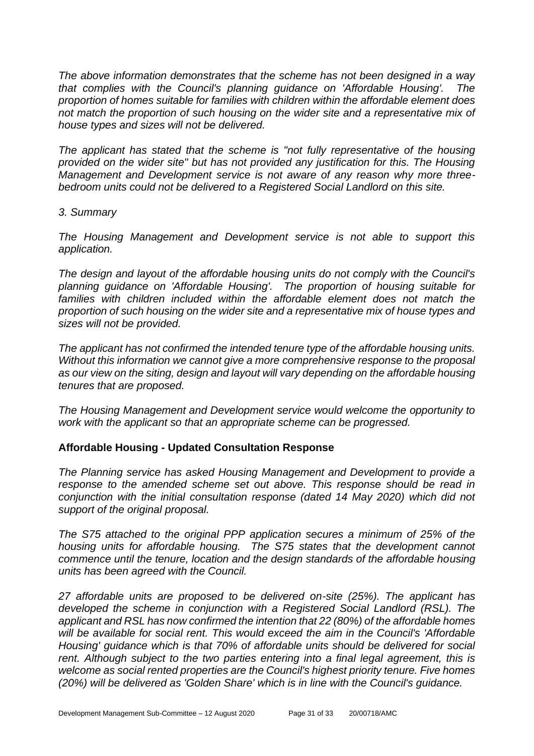*The above information demonstrates that the scheme has not been designed in a way that complies with the Council's planning guidance on 'Affordable Housing'. The proportion of homes suitable for families with children within the affordable element does not match the proportion of such housing on the wider site and a representative mix of house types and sizes will not be delivered.* 

*The applicant has stated that the scheme is "not fully representative of the housing provided on the wider site" but has not provided any justification for this. The Housing Management and Development service is not aware of any reason why more threebedroom units could not be delivered to a Registered Social Landlord on this site.*

## *3. Summary*

*The Housing Management and Development service is not able to support this application.*

*The design and layout of the affordable housing units do not comply with the Council's planning guidance on 'Affordable Housing'. The proportion of housing suitable for families with children included within the affordable element does not match the proportion of such housing on the wider site and a representative mix of house types and sizes will not be provided.*

*The applicant has not confirmed the intended tenure type of the affordable housing units. Without this information we cannot give a more comprehensive response to the proposal as our view on the siting, design and layout will vary depending on the affordable housing tenures that are proposed.*

*The Housing Management and Development service would welcome the opportunity to work with the applicant so that an appropriate scheme can be progressed.*

## **Affordable Housing - Updated Consultation Response**

*The Planning service has asked Housing Management and Development to provide a response to the amended scheme set out above. This response should be read in conjunction with the initial consultation response (dated 14 May 2020) which did not support of the original proposal.* 

*The S75 attached to the original PPP application secures a minimum of 25% of the housing units for affordable housing. The S75 states that the development cannot commence until the tenure, location and the design standards of the affordable housing units has been agreed with the Council.*

*27 affordable units are proposed to be delivered on-site (25%). The applicant has developed the scheme in conjunction with a Registered Social Landlord (RSL). The applicant and RSL has now confirmed the intention that 22 (80%) of the affordable homes will be available for social rent. This would exceed the aim in the Council's 'Affordable Housing' guidance which is that 70% of affordable units should be delivered for social*  rent. Although subject to the two parties entering into a final legal agreement, this is *welcome as social rented properties are the Council's highest priority tenure. Five homes (20%) will be delivered as 'Golden Share' which is in line with the Council's guidance.*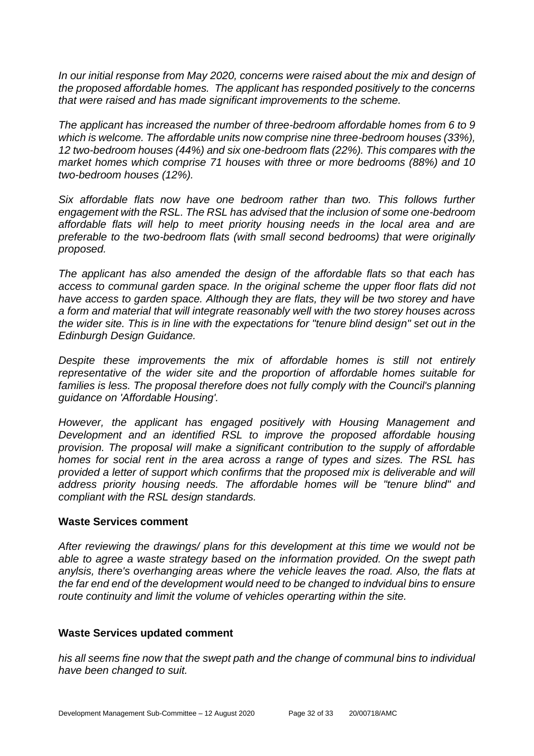*In our initial response from May 2020, concerns were raised about the mix and design of the proposed affordable homes. The applicant has responded positively to the concerns that were raised and has made significant improvements to the scheme.*

*The applicant has increased the number of three-bedroom affordable homes from 6 to 9 which is welcome. The affordable units now comprise nine three-bedroom houses (33%), 12 two-bedroom houses (44%) and six one-bedroom flats (22%). This compares with the market homes which comprise 71 houses with three or more bedrooms (88%) and 10 two-bedroom houses (12%).* 

*Six affordable flats now have one bedroom rather than two. This follows further engagement with the RSL. The RSL has advised that the inclusion of some one-bedroom affordable flats will help to meet priority housing needs in the local area and are preferable to the two-bedroom flats (with small second bedrooms) that were originally proposed.*

*The applicant has also amended the design of the affordable flats so that each has access to communal garden space. In the original scheme the upper floor flats did not have access to garden space. Although they are flats, they will be two storey and have a form and material that will integrate reasonably well with the two storey houses across the wider site. This is in line with the expectations for "tenure blind design" set out in the Edinburgh Design Guidance.*

*Despite these improvements the mix of affordable homes is still not entirely representative of the wider site and the proportion of affordable homes suitable for*  families is less. The proposal therefore does not fully comply with the Council's planning *guidance on 'Affordable Housing'.* 

*However, the applicant has engaged positively with Housing Management and Development and an identified RSL to improve the proposed affordable housing provision. The proposal will make a significant contribution to the supply of affordable homes for social rent in the area across a range of types and sizes. The RSL has provided a letter of support which confirms that the proposed mix is deliverable and will address priority housing needs. The affordable homes will be "tenure blind" and compliant with the RSL design standards.*

#### **Waste Services comment**

*After reviewing the drawings/ plans for this development at this time we would not be able to agree a waste strategy based on the information provided. On the swept path anylsis, there's overhanging areas where the vehicle leaves the road. Also, the flats at the far end end of the development would need to be changed to indvidual bins to ensure route continuity and limit the volume of vehicles operarting within the site.* 

## **Waste Services updated comment**

*his all seems fine now that the swept path and the change of communal bins to individual have been changed to suit.*